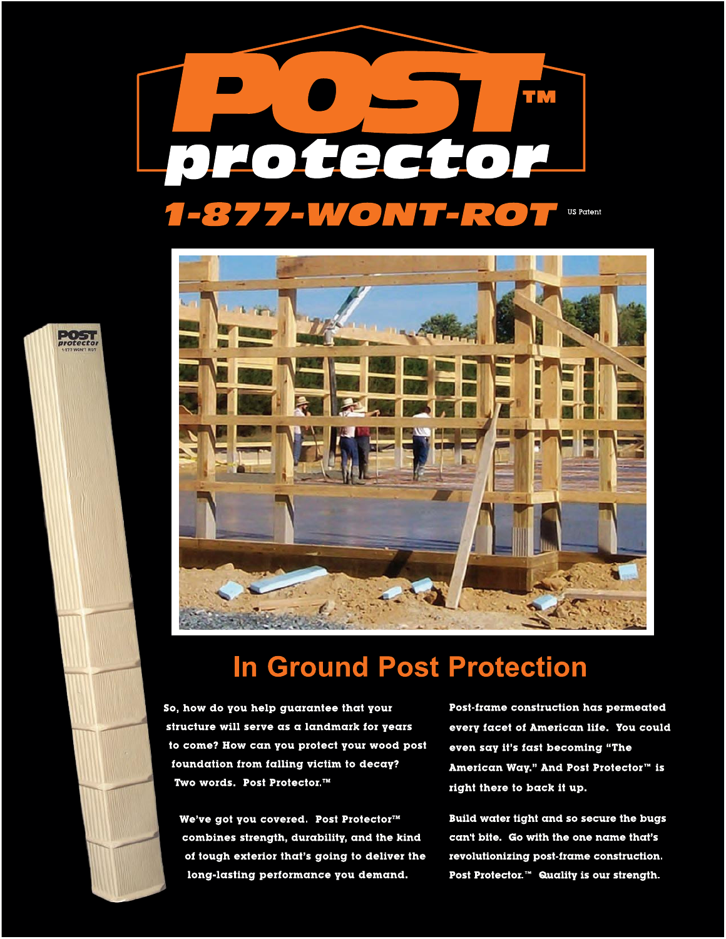



## **In Ground Post Protection**

So, how do you help guarantee that your structure will serve as a landmark for years to come? How can you protect your wood post foundation from falling victim to decay? Two words. Post Protector.™

We've got you covered. Post Protector™ combines strength, durability, and the kind of tough exterior that's going to deliver the long-lasting performance you demand.

Post-frame construction has permeated every facet of American life. You could even say it's fast becoming "The American Way." And Post Protector™ is right there to back it up.

Build water tight and so secure the bugs can't bite. Go with the one name that's revolutionizing post-frame construction. Post Protector.<sup>™</sup> Quality is our strength.